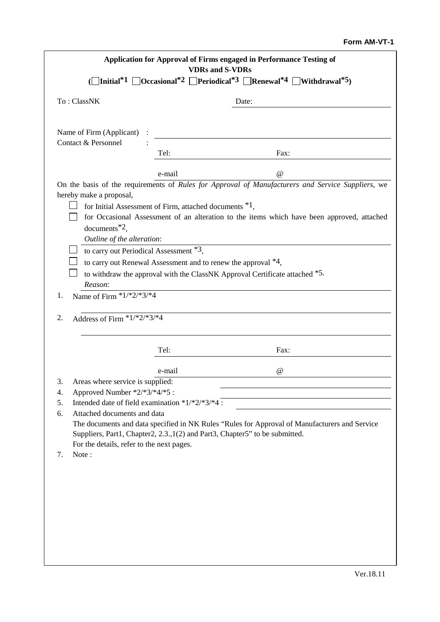## **Form AM-VT-1**

| Application for Approval of Firms engaged in Performance Testing of<br><b>VDRs</b> and S-VDRs                                                               |                                                        |                                                                                                                                                                                |
|-------------------------------------------------------------------------------------------------------------------------------------------------------------|--------------------------------------------------------|--------------------------------------------------------------------------------------------------------------------------------------------------------------------------------|
| $\Box$ Initial <sup>*1</sup> $\Box$ Occasional <sup>*2</sup> $\Box$ Periodical <sup>*3</sup> $\Box$ Renewal <sup>*4</sup> $\Box$ Withdrawal <sup>*5</sup> ) |                                                        |                                                                                                                                                                                |
| To: ClassNK                                                                                                                                                 |                                                        | Date:                                                                                                                                                                          |
|                                                                                                                                                             |                                                        |                                                                                                                                                                                |
| Name of Firm (Applicant) :<br>Contact & Personnel                                                                                                           |                                                        |                                                                                                                                                                                |
|                                                                                                                                                             | Tel:                                                   | Fax:                                                                                                                                                                           |
|                                                                                                                                                             | e-mail                                                 | @                                                                                                                                                                              |
| hereby make a proposal,                                                                                                                                     |                                                        | On the basis of the requirements of Rules for Approval of Manufacturers and Service Suppliers, we                                                                              |
|                                                                                                                                                             | for Initial Assessment of Firm, attached documents *1, |                                                                                                                                                                                |
| documents $^*$ <sup>2</sup> ,                                                                                                                               |                                                        | for Occasional Assessment of an alteration to the items which have been approved, attached                                                                                     |
| Outline of the alteration:                                                                                                                                  |                                                        |                                                                                                                                                                                |
| to carry out Periodical Assessment *3,                                                                                                                      |                                                        |                                                                                                                                                                                |
| to carry out Renewal Assessment and to renew the approval $*4$ ,                                                                                            |                                                        |                                                                                                                                                                                |
| to withdraw the approval with the ClassNK Approval Certificate attached *5.                                                                                 |                                                        |                                                                                                                                                                                |
| Reason:<br>Name of Firm $*1/*2/*3/*4$<br>1.                                                                                                                 |                                                        |                                                                                                                                                                                |
| Address of Firm $*1/*2/*3/*4$<br>2.                                                                                                                         | Tel:                                                   | Fax:                                                                                                                                                                           |
|                                                                                                                                                             | e-mail                                                 | $\omega$                                                                                                                                                                       |
| Areas where service is supplied:<br>3.                                                                                                                      |                                                        |                                                                                                                                                                                |
| Approved Number *2/*3/*4/*5 :<br>4.                                                                                                                         |                                                        |                                                                                                                                                                                |
| 5.                                                                                                                                                          | Intended date of field examination *1/*2/*3/*4 :       |                                                                                                                                                                                |
| Attached documents and data<br>6.                                                                                                                           |                                                        |                                                                                                                                                                                |
|                                                                                                                                                             |                                                        | The documents and data specified in NK Rules "Rules for Approval of Manufacturers and Service"<br>Suppliers, Part1, Chapter2, 2.3., 1(2) and Part3, Chapter5" to be submitted. |
| For the details, refer to the next pages.                                                                                                                   |                                                        |                                                                                                                                                                                |
| Note:<br>7.                                                                                                                                                 |                                                        |                                                                                                                                                                                |
|                                                                                                                                                             |                                                        |                                                                                                                                                                                |
|                                                                                                                                                             |                                                        |                                                                                                                                                                                |
|                                                                                                                                                             |                                                        |                                                                                                                                                                                |
|                                                                                                                                                             |                                                        |                                                                                                                                                                                |
|                                                                                                                                                             |                                                        |                                                                                                                                                                                |
|                                                                                                                                                             |                                                        |                                                                                                                                                                                |
|                                                                                                                                                             |                                                        |                                                                                                                                                                                |